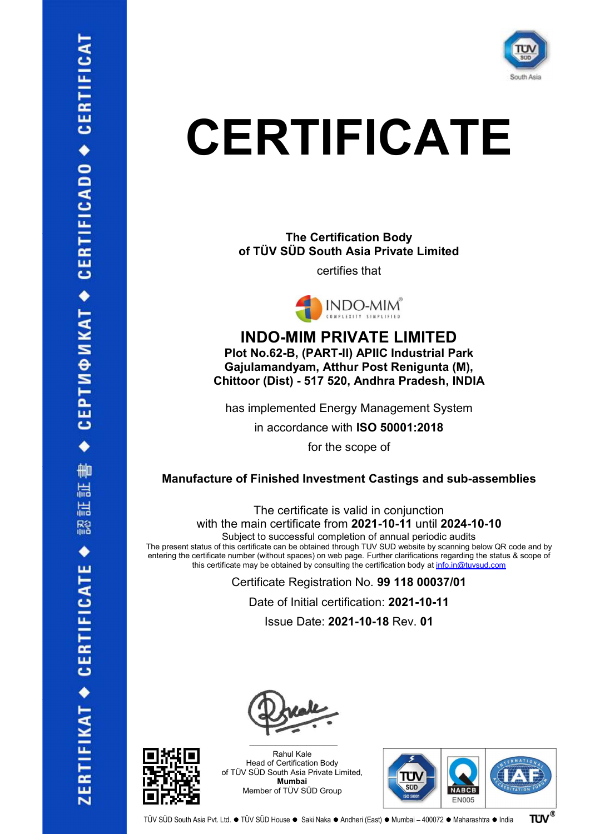

## **CERTIFICATE**

The Certification Body of TÜV SÜD South Asia Private Limited

certifies that



INDO-MIM PRIVATE LIMITED Plot No.62-B, (PART-II) APIIC Industrial Park Gajulamandyam, Atthur Post Renigunta (M), Chittoor (Dist) - 517 520, Andhra Pradesh, INDIA has implemented Energy Management System

in accordance with ISO 50001:2018

for the scope of

## Manufacture of Finished Investment Castings and sub-assemblies

The certificate is valid in conjunction with the main certificate from 2021-10-11 until 2024-10-10 Subject to successful completion of annual periodic audits

The present status of this certificate can be obtained through TUV SUD website by scanning below QR code and by entering the certificate number (without spaces) on web page. Further clarifications regarding the status & scope of this certificate may be obtained by consulting the certification body at  $info.in@tuvsud.com$ 

> Certificate Registration No. 99 118 00037/01 Date of Initial certification: 2021-10-11

Issue Date: 2021-10-18 Rev. 01



Rahul Kale Head of Certification Body of TÜV SÜD South Asia Private Limited, Mumbai Member of TÜV SÜD Group